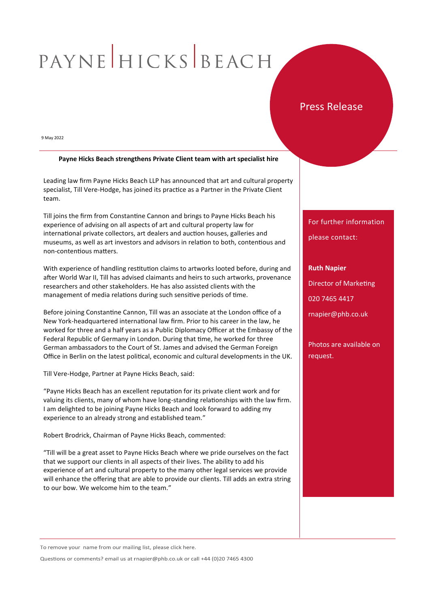# PAYNE HICKS BEACH

## Press Release

9 May 2022

### **Payne Hicks Beach strengthens Private Client team with art specialist hire**

Leading law firm Payne Hicks Beach LLP has announced that art and cultural property specialist, Till Vere-Hodge, has joined its practice as a Partner in the Private Client team.

Till joins the firm from Constantine Cannon and brings to Payne Hicks Beach his experience of advising on all aspects of art and cultural property law for international private collectors, art dealers and auction houses, galleries and museums, as well as art investors and advisors in relation to both, contentious and non-contentious matters.

With experience of handling restitution claims to artworks looted before, during and after World War II, Till has advised claimants and heirs to such artworks, provenance researchers and other stakeholders. He has also assisted clients with the management of media relations during such sensitive periods of time.

Before joining Constantine Cannon, Till was an associate at the London office of a New York-headquartered international law firm. Prior to his career in the law, he worked for three and a half years as a Public Diplomacy Officer at the Embassy of the Federal Republic of Germany in London. During that time, he worked for three German ambassadors to the Court of St. James and advised the German Foreign Office in Berlin on the latest political, economic and cultural developments in the UK.

Till Vere-Hodge, Partner at Payne Hicks Beach, said:

"Payne Hicks Beach has an excellent reputation for its private client work and for valuing its clients, many of whom have long-standing relationships with the law firm. I am delighted to be joining Payne Hicks Beach and look forward to adding my experience to an already strong and established team."

Robert Brodrick, Chairman of Payne Hicks Beach, commented:

"Till will be a great asset to Payne Hicks Beach where we pride ourselves on the fact that we support our clients in all aspects of their lives. The ability to add his experience of art and cultural property to the many other legal services we provide will enhance the offering that are able to provide our clients. Till adds an extra string to our bow. We welcome him to the team."

## For further information

please contact:

**Ruth Napier** Director of Marketing 020 7465 4417 rnapier@phb.co.uk

Photos are available on request.

To remove your name from our mailing list, please click here.

Questions or comments? email us at rnapier@phb.co.uk or call +44 (0)20 7465 4300